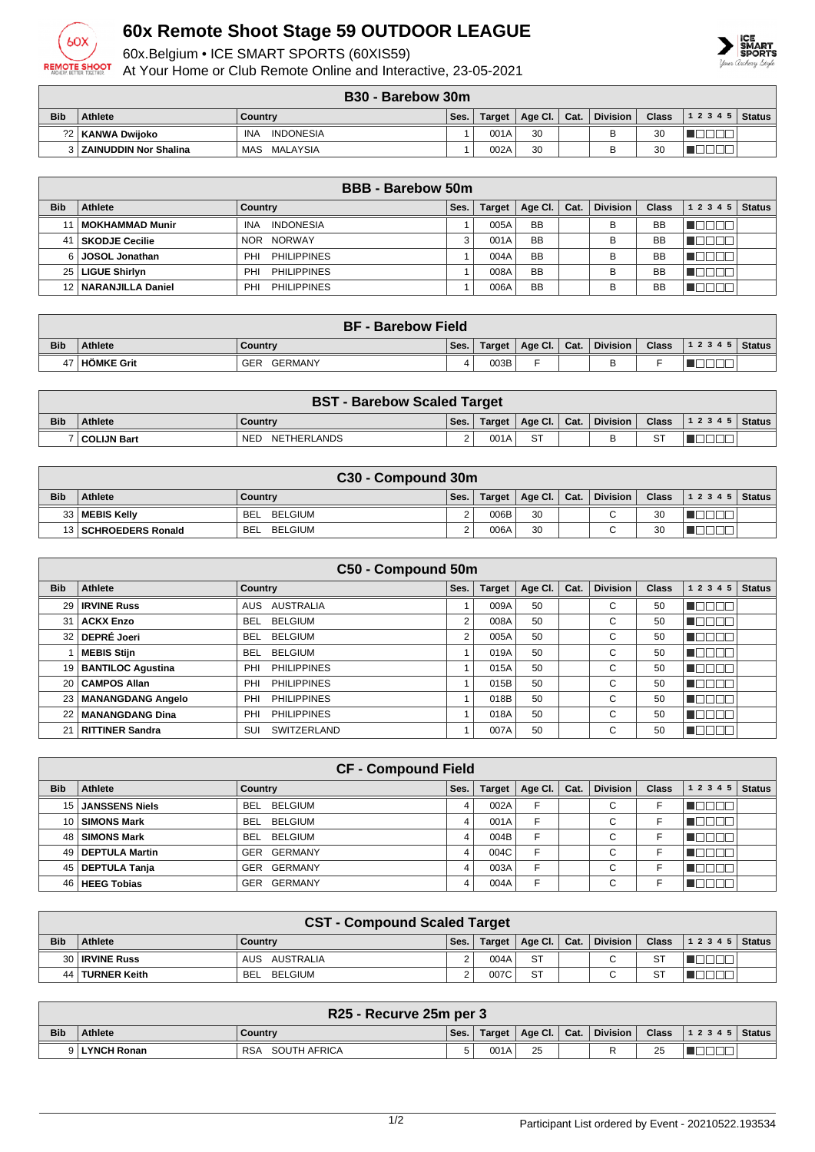

## **60x Remote Shoot Stage 59 OUTDOOR LEAGUE**

60x.Belgium • ICE SMART SPORTS (60XIS59)

At Your Home or Club Remote Online and Interactive, 23-05-2021

## **B30 - Barebow 30m**

|            |                              | ---                     |      |        |         |      |                 |              |           |               |
|------------|------------------------------|-------------------------|------|--------|---------|------|-----------------|--------------|-----------|---------------|
| <b>Bib</b> | <b>Athlete</b>               | Country                 | Ses. | Target | Age Cl. | Cat. | <b>Division</b> | <b>Class</b> | 1 2 3 4 5 | <b>Status</b> |
|            | ?2   KANWA Dwijoko           | INA<br><b>INDONESIA</b> |      | 001A   | 30      |      |                 | 30           |           |               |
|            | <b>ZAINUDDIN Nor Shalina</b> | MALAYSIA<br>MAS         |      | 002A   | 30      |      |                 | 30           |           |               |

|            | <b>BBB</b> - Barebow 50m |                                |      |               |           |      |                 |              |           |               |  |  |
|------------|--------------------------|--------------------------------|------|---------------|-----------|------|-----------------|--------------|-----------|---------------|--|--|
| <b>Bib</b> | Athlete                  | Country                        | Ses. | <b>Target</b> | Age Cl.   | Cat. | <b>Division</b> | <b>Class</b> | 1 2 3 4 5 | <b>Status</b> |  |  |
|            | MOKHAMMAD Munir          | <b>INDONESIA</b><br><b>INA</b> |      | 005A          | <b>BB</b> |      | в               | BB           |           |               |  |  |
| 41         | SKODJE Cecilie           | NOR NORWAY                     |      | 001A          | <b>BB</b> |      | в               | BB           |           |               |  |  |
| 6 I        | <b>JOSOL Jonathan</b>    | PHILIPPINES<br>PHI             |      | 004A          | <b>BB</b> |      | в               | <b>BB</b>    |           |               |  |  |
| 25 I       | <b>LIGUE Shirlyn</b>     | PHILIPPINES<br>PHI             |      | 008A          | <b>BB</b> |      | в               | <b>BB</b>    |           |               |  |  |
|            | 12   NARANJILLA Daniel   | <b>PHILIPPINES</b><br>PHI      |      | 006A          | <b>BB</b> |      | в               | BB           |           |               |  |  |

|            | <b>BF - Barebow Field</b> |                |      |        |                              |  |                 |              |                    |  |  |  |
|------------|---------------------------|----------------|------|--------|------------------------------|--|-----------------|--------------|--------------------|--|--|--|
| <b>Bib</b> | <b>Athlete</b>            | Country        | Ses. | Target | $\vert$ Age Cl. $\vert$ Cat. |  | <b>Division</b> | <b>Class</b> | 1 2 3 4 5   Status |  |  |  |
| 47         | <b>HOMKE Grit</b>         | GER<br>GERMANY |      | 003B   |                              |  |                 |              |                    |  |  |  |

|            | <b>BST - Barebow Scaled Target</b> |                           |      |      |                         |  |          |  |                                |  |  |  |
|------------|------------------------------------|---------------------------|------|------|-------------------------|--|----------|--|--------------------------------|--|--|--|
| <b>Bib</b> | <b>Athlete</b>                     | Country                   | Ses. |      | Target   Age Cl.   Cat. |  | Division |  | Class $\vert$ 1 2 3 4 5 Status |  |  |  |
|            | ′   COLIJN Bart                    | NETHERLANDS<br><b>NED</b> |      | 001A | <b>ST</b>               |  | R        |  |                                |  |  |  |

|            | C30 - Compound 30m     |                       |      |        |                |  |                 |              |                  |  |  |  |
|------------|------------------------|-----------------------|------|--------|----------------|--|-----------------|--------------|------------------|--|--|--|
| <b>Bib</b> | <b>Athlete</b>         | Country               | Ses. | Target | Age Cl.   Cat. |  | <b>Division</b> | <b>Class</b> | $ 12345 $ Status |  |  |  |
|            | 33   MEBIS Kelly       | BELGIUM<br><b>BEL</b> |      | 006B   | 30             |  | $\sim$          | 30           |                  |  |  |  |
|            | 13   SCHROEDERS Ronald | BELGIUM<br>BEL        |      | 006A   | 30             |  |                 | 30           |                  |  |  |  |

|            | C50 - Compound 50m     |                              |      |               |         |      |                 |              |            |               |  |  |  |
|------------|------------------------|------------------------------|------|---------------|---------|------|-----------------|--------------|------------|---------------|--|--|--|
| <b>Bib</b> | <b>Athlete</b>         | Country                      | Ses. | <b>Target</b> | Age Cl. | Cat. | <b>Division</b> | <b>Class</b> | 1 2 3 4 5  | <b>Status</b> |  |  |  |
|            | 29   IRVINE Russ       | AUSTRALIA<br>AUS             |      | 009A          | 50      |      | C               | 50           | 30 O       |               |  |  |  |
| 31         | <b>ACKX Enzo</b>       | <b>BELGIUM</b><br><b>BEL</b> | 2    | 008A          | 50      |      | С               | 50           | N EN EN    |               |  |  |  |
|            | 32 DEPRÉ Joeri         | <b>BELGIUM</b><br><b>BEL</b> | 2    | 005A          | 50      |      | С               | 50           | n digiti e |               |  |  |  |
|            | <b>MEBIS Stijn</b>     | BELGIUM<br><b>BEL</b>        |      | 019A          | 50      |      | C               | 50           | n na ma    |               |  |  |  |
|            | 19 BANTILOC Agustina   | <b>PHILIPPINES</b><br>PHI    |      | 015A          | 50      |      | C               | 50           | N E E E E  |               |  |  |  |
|            | 20   CAMPOS Allan      | <b>PHILIPPINES</b><br>PHI    |      | 015B          | 50      |      | C               | 50           | n Booo     |               |  |  |  |
|            | 23   MANANGDANG Angelo | <b>PHILIPPINES</b><br>PHI    |      | 018B          | 50      |      | C               | 50           | n Beech    |               |  |  |  |
|            | 22   MANANGDANG Dina   | <b>PHILIPPINES</b><br>PHI    |      | 018A          | 50      |      | C               | 50           | 300        |               |  |  |  |
| 21         | RITTINER Sandra        | <b>SWITZERLAND</b><br>SUI    |      | 007A          | 50      |      | C               | 50           | TO O O O   |               |  |  |  |

|                 | <b>CF - Compound Field</b> |                              |      |               |         |      |                 |              |           |               |  |  |
|-----------------|----------------------------|------------------------------|------|---------------|---------|------|-----------------|--------------|-----------|---------------|--|--|
| <b>Bib</b>      | Athlete                    | Country                      | Ses. | <b>Target</b> | Age Cl. | Cat. | <b>Division</b> | <b>Class</b> | 1 2 3 4 5 | <b>Status</b> |  |  |
| 15 <sup>1</sup> | <b>JANSSENS Niels</b>      | BEL BELGIUM                  | 4    | 002A          | F       |      | $\sim$<br>◡     |              |           |               |  |  |
| 10 <sub>1</sub> | <b>SIMONS Mark</b>         | BELGIUM<br>BEL               |      | 001A          | F       |      | $\sim$<br>U     |              |           |               |  |  |
| 48              | <b>SIMONS Mark</b>         | BEL BELGIUM                  | Δ    | 004B          | F       |      | $\sim$<br>◡     |              |           |               |  |  |
| 49              | <b>DEPTULA Martin</b>      | GER GERMANY                  |      | 004C          | F       |      | ⌒<br>◡          |              |           |               |  |  |
| 45 l            | DEPTULA Tanja              | GERMANY<br><b>GER</b>        | 4    | 003A          | Е       |      | $\sim$<br>◡     |              |           |               |  |  |
| 46              | <b>HEEG Tobias</b>         | <b>GERMANY</b><br><b>GER</b> |      | 004A          | F       |      | $\sim$<br>◡     |              |           |               |  |  |

| <b>CST - Compound Scaled Target</b> |                   |                       |      |        |                              |  |                 |              |                          |  |  |
|-------------------------------------|-------------------|-----------------------|------|--------|------------------------------|--|-----------------|--------------|--------------------------|--|--|
| <b>Bib</b>                          | <b>Athlete</b>    | Country               | Ses. | Target | $\vert$ Age Cl. $\vert$ Cat. |  | <b>Division</b> | <b>Class</b> | $ 1\;2\;3\;4\;5 $ Status |  |  |
|                                     | 30   IRVINE Russ  | AUSTRALIA<br>AUS      |      | 004A   | <b>ST</b>                    |  | $\sim$          | <b>ST</b>    |                          |  |  |
|                                     | 44   TURNER Keith | BELGIUM<br><b>BEL</b> |      | 007C   | <b>ST</b>                    |  | $\sim$          | <b>ST</b>    |                          |  |  |

| R25 - Recurve 25m per 3 |                |                            |      |        |             |      |          |              |                    |  |  |
|-------------------------|----------------|----------------------------|------|--------|-------------|------|----------|--------------|--------------------|--|--|
| <b>Bib</b>              | <b>Athlete</b> | Country                    | Ses. | Target | Age Cl. $ $ | Cat. | Division | <b>Class</b> | 1 2 3 4 5   Status |  |  |
|                         | 9 LYNCH Ronan  | <b>RSA</b><br>SOUTH AFRICA |      | 001A   | 25          |      |          | 25           |                    |  |  |